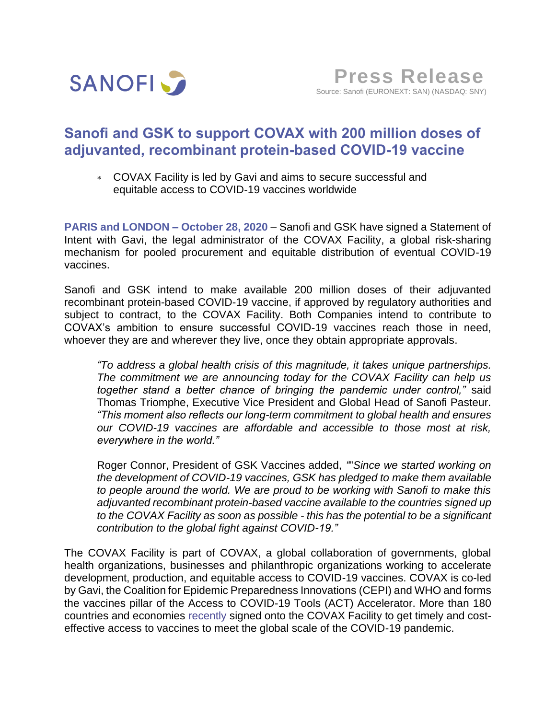

# **Sanofi and GSK to support COVAX with 200 million doses of adjuvanted, recombinant protein-based COVID-19 vaccine**

 COVAX Facility is led by Gavi and aims to secure successful and equitable access to COVID-19 vaccines worldwide

**PARIS and LONDON – October 28, 2020** – Sanofi and GSK have signed a Statement of Intent with Gavi, the legal administrator of the COVAX Facility, a global risk-sharing mechanism for pooled procurement and equitable distribution of eventual COVID-19 vaccines.

Sanofi and GSK intend to make available 200 million doses of their adjuvanted recombinant protein-based COVID-19 vaccine, if approved by regulatory authorities and subject to contract, to the COVAX Facility. Both Companies intend to contribute to COVAX's ambition to ensure successful COVID-19 vaccines reach those in need, whoever they are and wherever they live, once they obtain appropriate approvals.

*"To address a global health crisis of this magnitude, it takes unique partnerships. The commitment we are announcing today for the COVAX Facility can help us together stand a better chance of bringing the pandemic under control,"* said Thomas Triomphe, Executive Vice President and Global Head of Sanofi Pasteur. *"This moment also reflects our long-term commitment to global health and ensures our COVID-19 vaccines are affordable and accessible to those most at risk, everywhere in the world."* 

Roger Connor, President of GSK Vaccines added, *"*"*Since we started working on the development of COVID-19 vaccines, GSK has pledged to make them available to people around the world. We are proud to be working with Sanofi to make this adjuvanted recombinant protein-based vaccine available to the countries signed up to the COVAX Facility as soon as possible - this has the potential to be a significant contribution to the global fight against COVID-19."*

The COVAX Facility is part of COVAX, a global collaboration of governments, global health organizations, businesses and philanthropic organizations working to accelerate development, production, and equitable access to COVID-19 vaccines. COVAX is co-led by Gavi, the Coalition for Epidemic Preparedness Innovations (CEPI) and WHO and forms the vaccines pillar of the Access to COVID-19 Tools (ACT) Accelerator. More than 180 countries and economies [recently](https://www.gavi.org/sites/default/files/covid/pr/COVAX_CA_COIP_List_COVAX_PR_14-10.pdf) signed onto the COVAX Facility to get timely and costeffective access to vaccines to meet the global scale of the COVID-19 pandemic.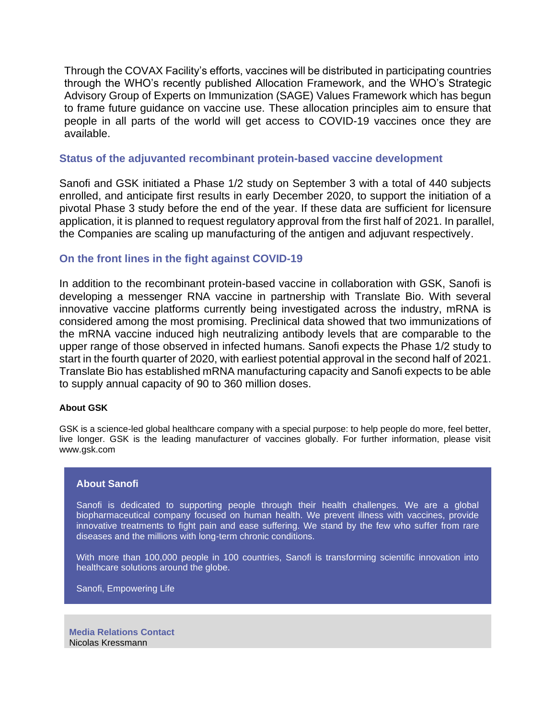Through the COVAX Facility's efforts, vaccines will be distributed in participating countries through the WHO's recently published Allocation Framework, and the WHO's Strategic Advisory Group of Experts on Immunization (SAGE) Values Framework which has begun to frame future guidance on vaccine use. These allocation principles aim to ensure that people in all parts of the world will get access to COVID-19 vaccines once they are available.

# **Status of the adjuvanted recombinant protein-based vaccine development**

Sanofi and GSK initiated a Phase 1/2 study on September 3 with a total of 440 subjects enrolled, and anticipate first results in early December 2020, to support the initiation of a pivotal Phase 3 study before the end of the year. If these data are sufficient for licensure application, it is planned to request regulatory approval from the first half of 2021. In parallel, the Companies are scaling up manufacturing of the antigen and adjuvant respectively.

## **On the front lines in the fight against COVID-19**

In addition to the recombinant protein-based vaccine in collaboration with GSK, Sanofi is developing a messenger RNA vaccine in partnership with Translate Bio. With several innovative vaccine platforms currently being investigated across the industry, mRNA is considered among the most promising. Preclinical data showed that two immunizations of the mRNA vaccine induced high neutralizing antibody levels that are comparable to the upper range of those observed in infected humans. Sanofi expects the Phase 1/2 study to start in the fourth quarter of 2020, with earliest potential approval in the second half of 2021. Translate Bio has established mRNA manufacturing capacity and Sanofi expects to be able to supply annual capacity of 90 to 360 million doses.

#### **About GSK**

GSK is a science-led global healthcare company with a special purpose: to help people do more, feel better, live longer. GSK is the leading manufacturer of vaccines globally. For further information, please visit www.gsk.com

### **About Sanofi**

Sanofi is dedicated to supporting people through their health challenges. We are a global biopharmaceutical company focused on human health. We prevent illness with vaccines, provide innovative treatments to fight pain and ease suffering. We stand by the few who suffer from rare diseases and the millions with long-term chronic conditions.

With more than 100,000 people in 100 countries, Sanofi is transforming scientific innovation into healthcare solutions around the globe.

Sanofi, Empowering Life

**Media Relations Contact** Nicolas Kressmann